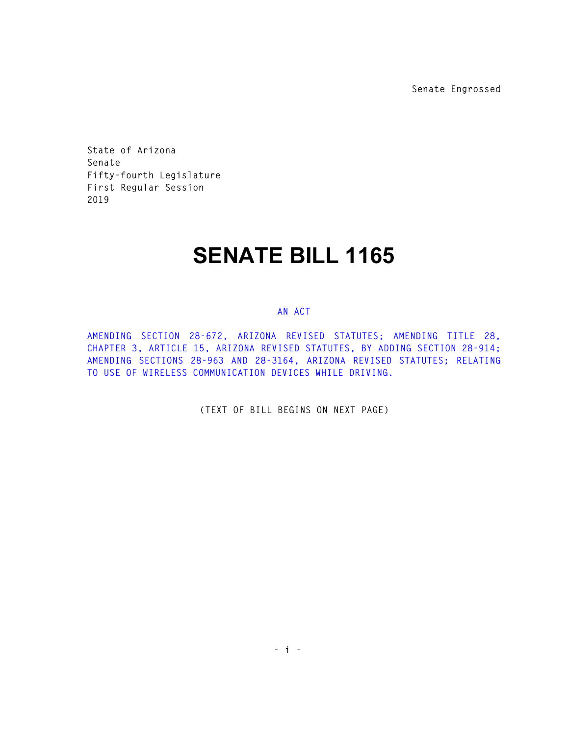**Senate Engrossed** 

**State of Arizona Senate Fifty-fourth Legislature First Regular Session 2019** 

## **SENATE BILL 1165**

## **AN ACT**

**AMENDING SECTION 28-672, ARIZONA REVISED STATUTES; AMENDING TITLE 28, CHAPTER 3, ARTICLE 15, ARIZONA REVISED STATUTES, BY ADDING SECTION 28-914; AMENDING SECTIONS 28-963 AND 28-3164, ARIZONA REVISED STATUTES; RELATING TO USE OF WIRELESS COMMUNICATION DEVICES WHILE DRIVING.** 

**(TEXT OF BILL BEGINS ON NEXT PAGE)**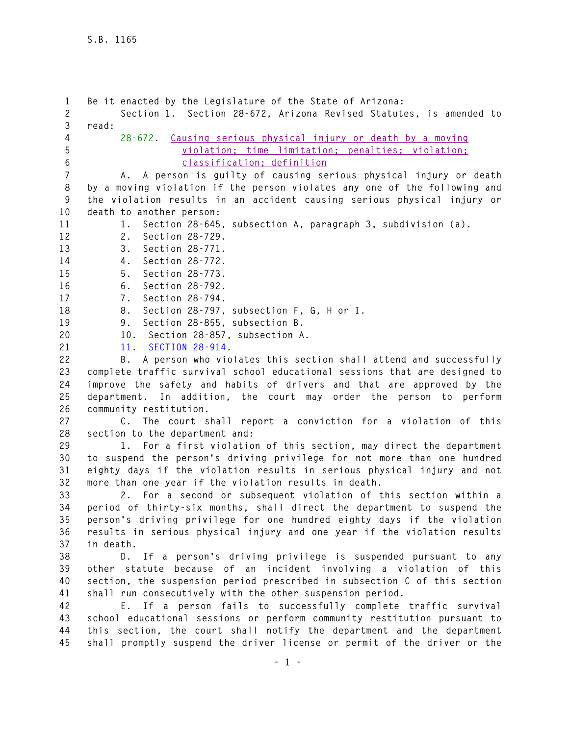**1 Be it enacted by the Legislature of the State of Arizona: 2 Section 1. Section 28-672, Arizona Revised Statutes, is amended to 3 read: 4 28-672. Causing serious physical injury or death by a moving 5 violation; time limitation; penalties; violation; 6 classification; definition 7 A. A person is guilty of causing serious physical injury or death 8 by a moving violation if the person violates any one of the following and 9 the violation results in an accident causing serious physical injury or 10 death to another person: 11 1. Section 28-645, subsection A, paragraph 3, subdivision (a). 12 2. Section 28-729. 13 3. Section 28-771. 14 4. Section 28-772. 15 5. Section 28-773. 16 6. Section 28-792. 17 7. Section 28-794. 18 8. Section 28-797, subsection F, G, H or I. 19 9. Section 28-855, subsection B. 20 10. Section 28-857, subsection A. 21 11. SECTION 28-914. 22 B. A person who violates this section shall attend and successfully 23 complete traffic survival school educational sessions that are designed to 24 improve the safety and habits of drivers and that are approved by the 25 department. In addition, the court may order the person to perform 26 community restitution. 27 C. The court shall report a conviction for a violation of this 28 section to the department and: 29 1. For a first violation of this section, may direct the department 30 to suspend the person's driving privilege for not more than one hundred 31 eighty days if the violation results in serious physical injury and not 32 more than one year if the violation results in death. 33 2. For a second or subsequent violation of this section within a 34 period of thirty-six months, shall direct the department to suspend the 35 person's driving privilege for one hundred eighty days if the violation 36 results in serious physical injury and one year if the violation results 37 in death. 38 D. If a person's driving privilege is suspended pursuant to any 39 other statute because of an incident involving a violation of this 40 section, the suspension period prescribed in subsection C of this section 41 shall run consecutively with the other suspension period. 42 E. If a person fails to successfully complete traffic survival 43 school educational sessions or perform community restitution pursuant to 44 this section, the court shall notify the department and the department 45 shall promptly suspend the driver license or permit of the driver or the**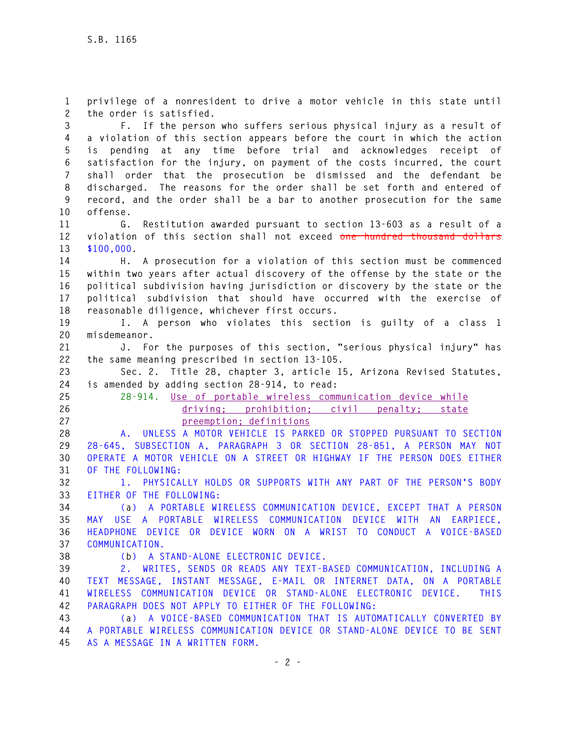**1 privilege of a nonresident to drive a motor vehicle in this state until 2 the order is satisfied.** 

**3 F. If the person who suffers serious physical injury as a result of 4 a violation of this section appears before the court in which the action 5 is pending at any time before trial and acknowledges receipt of 6 satisfaction for the injury, on payment of the costs incurred, the court 7 shall order that the prosecution be dismissed and the defendant be 8 discharged. The reasons for the order shall be set forth and entered of 9 record, and the order shall be a bar to another prosecution for the same 10 offense.** 

**11 G. Restitution awarded pursuant to section 13-603 as a result of a 12 violation of this section shall not exceed one hundred thousand dollars 13 \$100,000.** 

**14 H. A prosecution for a violation of this section must be commenced 15 within two years after actual discovery of the offense by the state or the 16 political subdivision having jurisdiction or discovery by the state or the 17 political subdivision that should have occurred with the exercise of 18 reasonable diligence, whichever first occurs.** 

**19 I. A person who violates this section is guilty of a class 1 20 misdemeanor.** 

**21 J. For the purposes of this section, "serious physical injury" has 22 the same meaning prescribed in section 13-105.** 

**23 Sec. 2. Title 28, chapter 3, article 15, Arizona Revised Statutes, 24 is amended by adding section 28-914, to read:** 

**25 28-914. Use of portable wireless communication device while 26 driving; prohibition; civil penalty; state 27 preemption; definitions** 

**28 A. UNLESS A MOTOR VEHICLE IS PARKED OR STOPPED PURSUANT TO SECTION 29 28-645, SUBSECTION A, PARAGRAPH 3 OR SECTION 28-851, A PERSON MAY NOT 30 OPERATE A MOTOR VEHICLE ON A STREET OR HIGHWAY IF THE PERSON DOES EITHER 31 OF THE FOLLOWING:** 

**32 1. PHYSICALLY HOLDS OR SUPPORTS WITH ANY PART OF THE PERSON'S BODY 33 EITHER OF THE FOLLOWING:** 

**34 (a) A PORTABLE WIRELESS COMMUNICATION DEVICE, EXCEPT THAT A PERSON 35 MAY USE A PORTABLE WIRELESS COMMUNICATION DEVICE WITH AN EARPIECE, 36 HEADPHONE DEVICE OR DEVICE WORN ON A WRIST TO CONDUCT A VOICE-BASED 37 COMMUNICATION.** 

**38 (b) A STAND-ALONE ELECTRONIC DEVICE.** 

**39 2. WRITES, SENDS OR READS ANY TEXT-BASED COMMUNICATION, INCLUDING A 40 TEXT MESSAGE, INSTANT MESSAGE, E-MAIL OR INTERNET DATA, ON A PORTABLE 41 WIRELESS COMMUNICATION DEVICE OR STAND-ALONE ELECTRONIC DEVICE. THIS 42 PARAGRAPH DOES NOT APPLY TO EITHER OF THE FOLLOWING:** 

**43 (a) A VOICE-BASED COMMUNICATION THAT IS AUTOMATICALLY CONVERTED BY 44 A PORTABLE WIRELESS COMMUNICATION DEVICE OR STAND-ALONE DEVICE TO BE SENT 45 AS A MESSAGE IN A WRITTEN FORM.**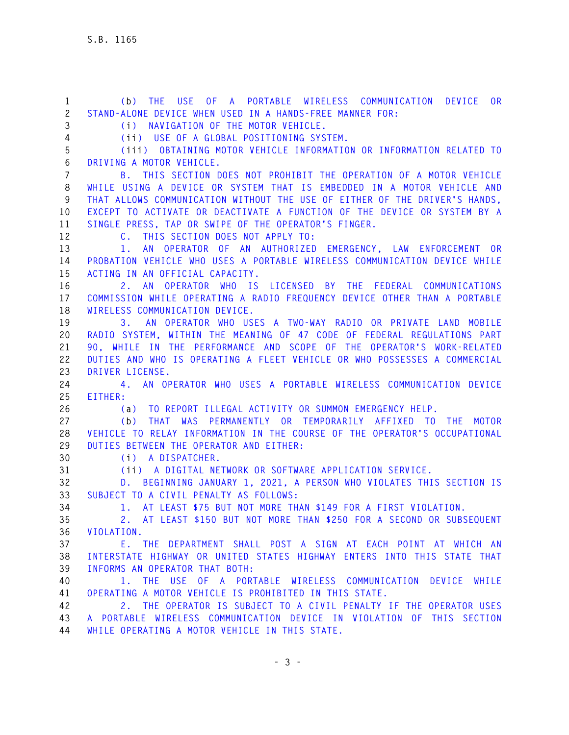**1 (b) THE USE OF A PORTABLE WIRELESS COMMUNICATION DEVICE OR 2 STAND-ALONE DEVICE WHEN USED IN A HANDS-FREE MANNER FOR: 3 (i) NAVIGATION OF THE MOTOR VEHICLE. 4 (ii) USE OF A GLOBAL POSITIONING SYSTEM. 5 (iii) OBTAINING MOTOR VEHICLE INFORMATION OR INFORMATION RELATED TO 6 DRIVING A MOTOR VEHICLE. 7 B. THIS SECTION DOES NOT PROHIBIT THE OPERATION OF A MOTOR VEHICLE 8 WHILE USING A DEVICE OR SYSTEM THAT IS EMBEDDED IN A MOTOR VEHICLE AND 9 THAT ALLOWS COMMUNICATION WITHOUT THE USE OF EITHER OF THE DRIVER'S HANDS, 10 EXCEPT TO ACTIVATE OR DEACTIVATE A FUNCTION OF THE DEVICE OR SYSTEM BY A 11 SINGLE PRESS, TAP OR SWIPE OF THE OPERATOR'S FINGER. 12 C. THIS SECTION DOES NOT APPLY TO: 13 1. AN OPERATOR OF AN AUTHORIZED EMERGENCY, LAW ENFORCEMENT OR 14 PROBATION VEHICLE WHO USES A PORTABLE WIRELESS COMMUNICATION DEVICE WHILE 15 ACTING IN AN OFFICIAL CAPACITY. 16 2. AN OPERATOR WHO IS LICENSED BY THE FEDERAL COMMUNICATIONS 17 COMMISSION WHILE OPERATING A RADIO FREQUENCY DEVICE OTHER THAN A PORTABLE 18 WIRELESS COMMUNICATION DEVICE. 19 3. AN OPERATOR WHO USES A TWO-WAY RADIO OR PRIVATE LAND MOBILE 20 RADIO SYSTEM, WITHIN THE MEANING OF 47 CODE OF FEDERAL REGULATIONS PART 21 90, WHILE IN THE PERFORMANCE AND SCOPE OF THE OPERATOR'S WORK-RELATED 22 DUTIES AND WHO IS OPERATING A FLEET VEHICLE OR WHO POSSESSES A COMMERCIAL 23 DRIVER LICENSE. 24 4. AN OPERATOR WHO USES A PORTABLE WIRELESS COMMUNICATION DEVICE 25 EITHER: 26 (a) TO REPORT ILLEGAL ACTIVITY OR SUMMON EMERGENCY HELP. 27 (b) THAT WAS PERMANENTLY OR TEMPORARILY AFFIXED TO THE MOTOR 28 VEHICLE TO RELAY INFORMATION IN THE COURSE OF THE OPERATOR'S OCCUPATIONAL 29 DUTIES BETWEEN THE OPERATOR AND EITHER: 30 (i) A DISPATCHER. 31 (ii) A DIGITAL NETWORK OR SOFTWARE APPLICATION SERVICE. 32 D. BEGINNING JANUARY 1, 2021, A PERSON WHO VIOLATES THIS SECTION IS 33 SUBJECT TO A CIVIL PENALTY AS FOLLOWS: 34 1. AT LEAST \$75 BUT NOT MORE THAN \$149 FOR A FIRST VIOLATION. 35 2. AT LEAST \$150 BUT NOT MORE THAN \$250 FOR A SECOND OR SUBSEQUENT 36 VIOLATION. 37 E. THE DEPARTMENT SHALL POST A SIGN AT EACH POINT AT WHICH AN 38 INTERSTATE HIGHWAY OR UNITED STATES HIGHWAY ENTERS INTO THIS STATE THAT 39 INFORMS AN OPERATOR THAT BOTH: 40 1. THE USE OF A PORTABLE WIRELESS COMMUNICATION DEVICE WHILE 41 OPERATING A MOTOR VEHICLE IS PROHIBITED IN THIS STATE. 42 2. THE OPERATOR IS SUBJECT TO A CIVIL PENALTY IF THE OPERATOR USES 43 A PORTABLE WIRELESS COMMUNICATION DEVICE IN VIOLATION OF THIS SECTION 44 WHILE OPERATING A MOTOR VEHICLE IN THIS STATE.**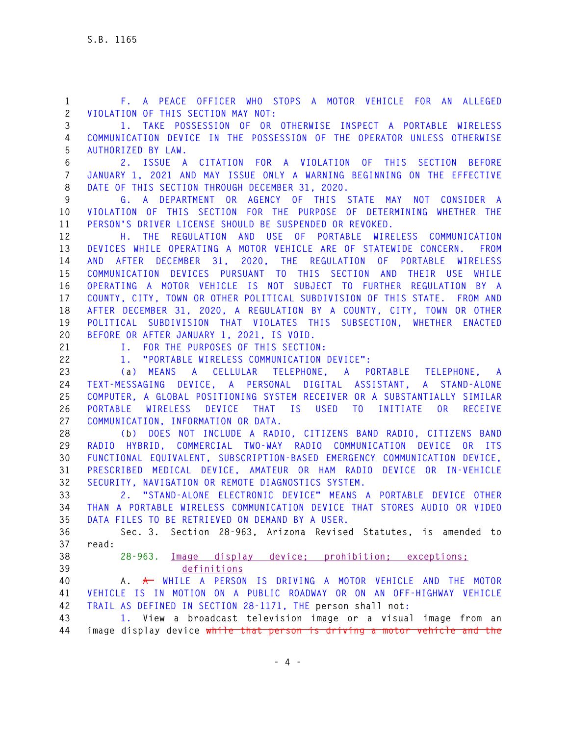**1 F. A PEACE OFFICER WHO STOPS A MOTOR VEHICLE FOR AN ALLEGED 2 VIOLATION OF THIS SECTION MAY NOT:** 

**3 1. TAKE POSSESSION OF OR OTHERWISE INSPECT A PORTABLE WIRELESS 4 COMMUNICATION DEVICE IN THE POSSESSION OF THE OPERATOR UNLESS OTHERWISE 5 AUTHORIZED BY LAW.** 

**6 2. ISSUE A CITATION FOR A VIOLATION OF THIS SECTION BEFORE 7 JANUARY 1, 2021 AND MAY ISSUE ONLY A WARNING BEGINNING ON THE EFFECTIVE 8 DATE OF THIS SECTION THROUGH DECEMBER 31, 2020.** 

**9 G. A DEPARTMENT OR AGENCY OF THIS STATE MAY NOT CONSIDER A 10 VIOLATION OF THIS SECTION FOR THE PURPOSE OF DETERMINING WHETHER THE 11 PERSON'S DRIVER LICENSE SHOULD BE SUSPENDED OR REVOKED.** 

**12 H. THE REGULATION AND USE OF PORTABLE WIRELESS COMMUNICATION 13 DEVICES WHILE OPERATING A MOTOR VEHICLE ARE OF STATEWIDE CONCERN. FROM 14 AND AFTER DECEMBER 31, 2020, THE REGULATION OF PORTABLE WIRELESS 15 COMMUNICATION DEVICES PURSUANT TO THIS SECTION AND THEIR USE WHILE 16 OPERATING A MOTOR VEHICLE IS NOT SUBJECT TO FURTHER REGULATION BY A 17 COUNTY, CITY, TOWN OR OTHER POLITICAL SUBDIVISION OF THIS STATE. FROM AND 18 AFTER DECEMBER 31, 2020, A REGULATION BY A COUNTY, CITY, TOWN OR OTHER 19 POLITICAL SUBDIVISION THAT VIOLATES THIS SUBSECTION, WHETHER ENACTED 20 BEFORE OR AFTER JANUARY 1, 2021, IS VOID.** 

**21 I. FOR THE PURPOSES OF THIS SECTION:** 

**22 1. "PORTABLE WIRELESS COMMUNICATION DEVICE":** 

**23 (a) MEANS A CELLULAR TELEPHONE, A PORTABLE TELEPHONE, A 24 TEXT-MESSAGING DEVICE, A PERSONAL DIGITAL ASSISTANT, A STAND-ALONE 25 COMPUTER, A GLOBAL POSITIONING SYSTEM RECEIVER OR A SUBSTANTIALLY SIMILAR 26 PORTABLE WIRELESS DEVICE THAT IS USED TO INITIATE OR RECEIVE 27 COMMUNICATION, INFORMATION OR DATA.** 

**28 (b) DOES NOT INCLUDE A RADIO, CITIZENS BAND RADIO, CITIZENS BAND 29 RADIO HYBRID, COMMERCIAL TWO-WAY RADIO COMMUNICATION DEVICE OR ITS 30 FUNCTIONAL EQUIVALENT, SUBSCRIPTION-BASED EMERGENCY COMMUNICATION DEVICE, 31 PRESCRIBED MEDICAL DEVICE, AMATEUR OR HAM RADIO DEVICE OR IN-VEHICLE 32 SECURITY, NAVIGATION OR REMOTE DIAGNOSTICS SYSTEM.** 

**33 2. "STAND-ALONE ELECTRONIC DEVICE" MEANS A PORTABLE DEVICE OTHER 34 THAN A PORTABLE WIRELESS COMMUNICATION DEVICE THAT STORES AUDIO OR VIDEO 35 DATA FILES TO BE RETRIEVED ON DEMAND BY A USER.** 

**36 Sec. 3. Section 28-963, Arizona Revised Statutes, is amended to 37 read:** 

**38 28-963. Image display device; prohibition; exceptions; 39 definitions**

**40 A. A WHILE A PERSON IS DRIVING A MOTOR VEHICLE AND THE MOTOR 41 VEHICLE IS IN MOTION ON A PUBLIC ROADWAY OR ON AN OFF-HIGHWAY VEHICLE 42 TRAIL AS DEFINED IN SECTION 28-1171, THE person shall not:** 

**43 1. View a broadcast television image or a visual image from an 44 image display device while that person is driving a motor vehicle and the**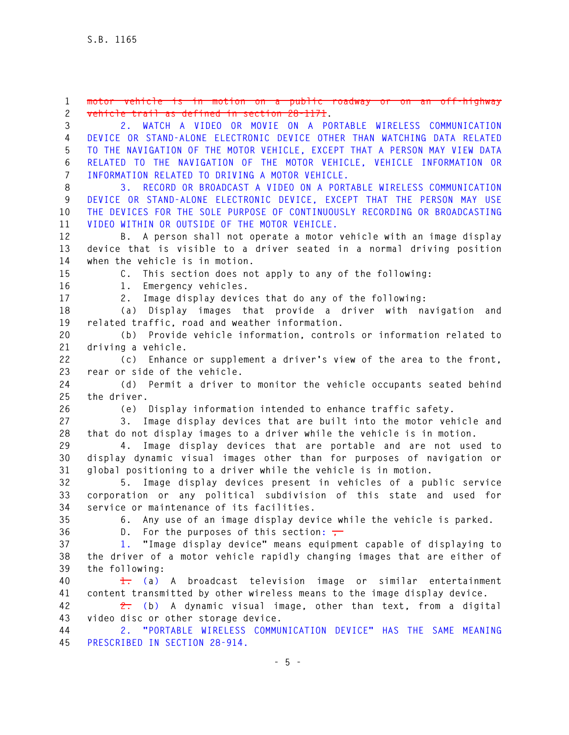**- 5 - 3 2. WATCH A VIDEO OR MOVIE ON A PORTABLE WIRELESS COMMUNICATION 4 DEVICE OR STAND-ALONE ELECTRONIC DEVICE OTHER THAN WATCHING DATA RELATED 5 TO THE NAVIGATION OF THE MOTOR VEHICLE, EXCEPT THAT A PERSON MAY VIEW DATA 6 RELATED TO THE NAVIGATION OF THE MOTOR VEHICLE, VEHICLE INFORMATION OR 7 INFORMATION RELATED TO DRIVING A MOTOR VEHICLE. 8 3. RECORD OR BROADCAST A VIDEO ON A PORTABLE WIRELESS COMMUNICATION 9 DEVICE OR STAND-ALONE ELECTRONIC DEVICE, EXCEPT THAT THE PERSON MAY USE 10 THE DEVICES FOR THE SOLE PURPOSE OF CONTINUOUSLY RECORDING OR BROADCASTING 11 VIDEO WITHIN OR OUTSIDE OF THE MOTOR VEHICLE. 12 B. A person shall not operate a motor vehicle with an image display 13 device that is visible to a driver seated in a normal driving position 14 when the vehicle is in motion. 15 C. This section does not apply to any of the following: 16 1. Emergency vehicles. 17 2. Image display devices that do any of the following: 18 (a) Display images that provide a driver with navigation and 19 related traffic, road and weather information. 20 (b) Provide vehicle information, controls or information related to 21 driving a vehicle. 22 (c) Enhance or supplement a driver's view of the area to the front, 23 rear or side of the vehicle. 24 (d) Permit a driver to monitor the vehicle occupants seated behind 25 the driver. 26 (e) Display information intended to enhance traffic safety. 27 3. Image display devices that are built into the motor vehicle and 28 that do not display images to a driver while the vehicle is in motion. 29 4. Image display devices that are portable and are not used to 30 display dynamic visual images other than for purposes of navigation or 31 global positioning to a driver while the vehicle is in motion. 32 5. Image display devices present in vehicles of a public service 33 corporation or any political subdivision of this state and used for 34 service or maintenance of its facilities. 35 6. Any use of an image display device while the vehicle is parked.**  36 D. For the purposes of this section: **37 1. "Image display device" means equipment capable of displaying to 38 the driver of a motor vehicle rapidly changing images that are either of 39 the following: 40 1. (a) A broadcast television image or similar entertainment 41 content transmitted by other wireless means to the image display device. 42 2. (b) A dynamic visual image, other than text, from a digital 43 video disc or other storage device. 44 2. "PORTABLE WIRELESS COMMUNICATION DEVICE" HAS THE SAME MEANING 45 PRESCRIBED IN SECTION 28-914.** 

**1 motor vehicle is in motion on a public roadway or on an off-highway** 

**2 vehicle trail as defined in section 28-1171.**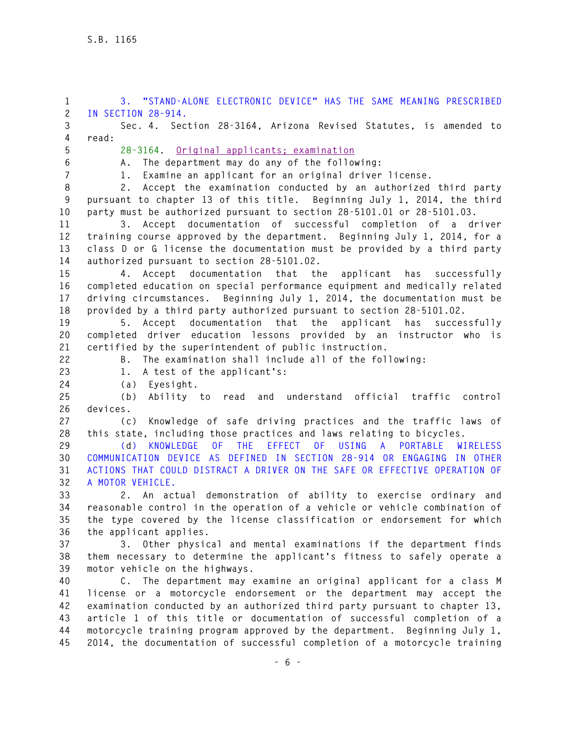**1 3. "STAND-ALONE ELECTRONIC DEVICE" HAS THE SAME MEANING PRESCRIBED 2 IN SECTION 28-914. 3 Sec. 4. Section 28-3164, Arizona Revised Statutes, is amended to 4 read: 5 28-3164. Original applicants; examination 6 A. The department may do any of the following: 7 1. Examine an applicant for an original driver license. 8 2. Accept the examination conducted by an authorized third party 9 pursuant to chapter 13 of this title. Beginning July 1, 2014, the third 10 party must be authorized pursuant to section 28-5101.01 or 28-5101.03. 11 3. Accept documentation of successful completion of a driver 12 training course approved by the department. Beginning July 1, 2014, for a 13 class D or G license the documentation must be provided by a third party 14 authorized pursuant to section 28-5101.02. 15 4. Accept documentation that the applicant has successfully 16 completed education on special performance equipment and medically related 17 driving circumstances. Beginning July 1, 2014, the documentation must be 18 provided by a third party authorized pursuant to section 28-5101.02. 19 5. Accept documentation that the applicant has successfully 20 completed driver education lessons provided by an instructor who is 21 certified by the superintendent of public instruction. 22 B. The examination shall include all of the following: 23 1. A test of the applicant's: 24 (a) Eyesight. 25 (b) Ability to read and understand official traffic control 26 devices. 27 (c) Knowledge of safe driving practices and the traffic laws of 28 this state, including those practices and laws relating to bicycles. 29 (d) KNOWLEDGE OF THE EFFECT OF USING A PORTABLE WIRELESS 30 COMMUNICATION DEVICE AS DEFINED IN SECTION 28-914 OR ENGAGING IN OTHER 31 ACTIONS THAT COULD DISTRACT A DRIVER ON THE SAFE OR EFFECTIVE OPERATION OF 32 A MOTOR VEHICLE. 33 2. An actual demonstration of ability to exercise ordinary and 34 reasonable control in the operation of a vehicle or vehicle combination of 35 the type covered by the license classification or endorsement for which 36 the applicant applies. 37 3. Other physical and mental examinations if the department finds 38 them necessary to determine the applicant's fitness to safely operate a 39 motor vehicle on the highways. 40 C. The department may examine an original applicant for a class M 41 license or a motorcycle endorsement or the department may accept the 42 examination conducted by an authorized third party pursuant to chapter 13, 43 article 1 of this title or documentation of successful completion of a 44 motorcycle training program approved by the department. Beginning July 1,** 

**45 2014, the documentation of successful completion of a motorcycle training**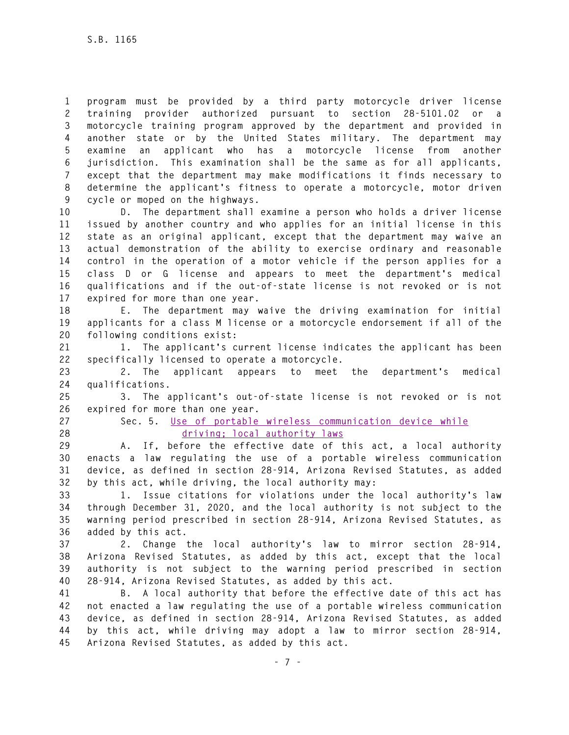**1 program must be provided by a third party motorcycle driver license 2 training provider authorized pursuant to section 28-5101.02 or a 3 motorcycle training program approved by the department and provided in 4 another state or by the United States military. The department may 5 examine an applicant who has a motorcycle license from another 6 jurisdiction. This examination shall be the same as for all applicants, 7 except that the department may make modifications it finds necessary to 8 determine the applicant's fitness to operate a motorcycle, motor driven 9 cycle or moped on the highways.** 

**10 D. The department shall examine a person who holds a driver license 11 issued by another country and who applies for an initial license in this 12 state as an original applicant, except that the department may waive an 13 actual demonstration of the ability to exercise ordinary and reasonable 14 control in the operation of a motor vehicle if the person applies for a 15 class D or G license and appears to meet the department's medical 16 qualifications and if the out-of-state license is not revoked or is not 17 expired for more than one year.** 

**18 E. The department may waive the driving examination for initial 19 applicants for a class M license or a motorcycle endorsement if all of the 20 following conditions exist:** 

**21 1. The applicant's current license indicates the applicant has been 22 specifically licensed to operate a motorcycle.** 

**23 2. The applicant appears to meet the department's medical 24 qualifications.** 

**25 3. The applicant's out-of-state license is not revoked or is not 26 expired for more than one year.** 

**27 Sec. 5. Use of portable wireless communication device while 28 driving; local authority laws** 

**29 A. If, before the effective date of this act, a local authority 30 enacts a law regulating the use of a portable wireless communication 31 device, as defined in section 28-914, Arizona Revised Statutes, as added 32 by this act, while driving, the local authority may:** 

**33 1. Issue citations for violations under the local authority's law 34 through December 31, 2020, and the local authority is not subject to the 35 warning period prescribed in section 28-914, Arizona Revised Statutes, as 36 added by this act.** 

**37 2. Change the local authority's law to mirror section 28-914, 38 Arizona Revised Statutes, as added by this act, except that the local 39 authority is not subject to the warning period prescribed in section 40 28-914, Arizona Revised Statutes, as added by this act.** 

**41 B. A local authority that before the effective date of this act has 42 not enacted a law regulating the use of a portable wireless communication 43 device, as defined in section 28-914, Arizona Revised Statutes, as added 44 by this act, while driving may adopt a law to mirror section 28-914, 45 Arizona Revised Statutes, as added by this act.**